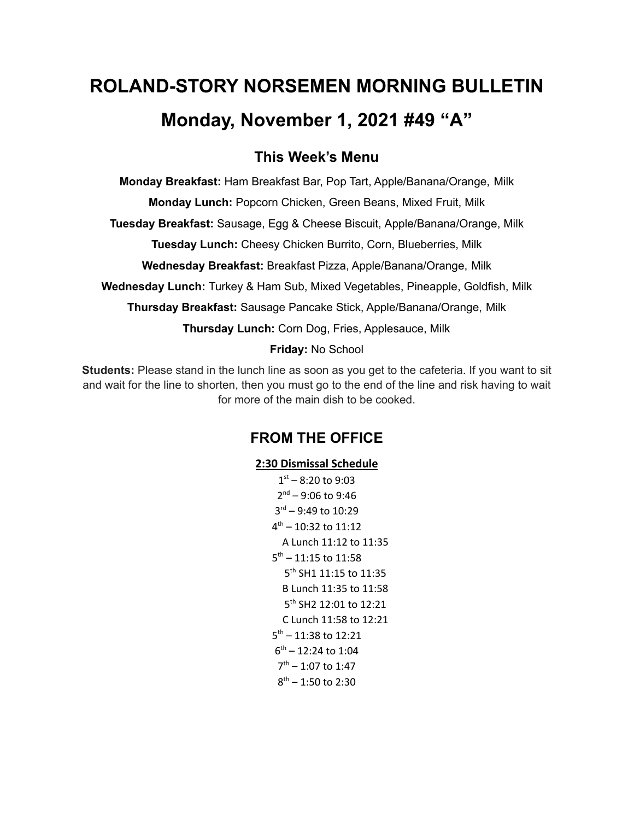# **ROLAND-STORY NORSEMEN MORNING BULLETIN Monday, November 1, 2021 #49 "A"**

# **This Week's Menu**

**Monday Breakfast:** Ham Breakfast Bar, Pop Tart, Apple/Banana/Orange, Milk

**Monday Lunch:** Popcorn Chicken, Green Beans, Mixed Fruit, Milk

**Tuesday Breakfast:** Sausage, Egg & Cheese Biscuit, Apple/Banana/Orange, Milk

**Tuesday Lunch:** Cheesy Chicken Burrito, Corn, Blueberries, Milk

**Wednesday Breakfast:** Breakfast Pizza, Apple/Banana/Orange, Milk

**Wednesday Lunch:** Turkey & Ham Sub, Mixed Vegetables, Pineapple, Goldfish, Milk

**Thursday Breakfast:** Sausage Pancake Stick, Apple/Banana/Orange, Milk

**Thursday Lunch:** Corn Dog, Fries, Applesauce, Milk

#### **Friday:** No School

**Students:** Please stand in the lunch line as soon as you get to the cafeteria. If you want to sit and wait for the line to shorten, then you must go to the end of the line and risk having to wait for more of the main dish to be cooked.

## **FROM THE OFFICE**

### **2:30 Dismissal Schedule**

 $1<sup>st</sup> - 8:20$  to 9:03 2<sup>nd</sup> – 9:06 to 9:46 rd – 9:49 to 10:29 th – 10:32 to 11:12 A Lunch 11:12 to 11:35 th – 11:15 to 11:58 th SH1 11:15 to 11:35 B Lunch 11:35 to 11:58 th SH2 12:01 to 12:21 C Lunch 11:58 to 12:21 th – 11:38 to 12:21 th – 12:24 to 1:04 th – 1:07 to 1:47 th – 1:50 to 2:30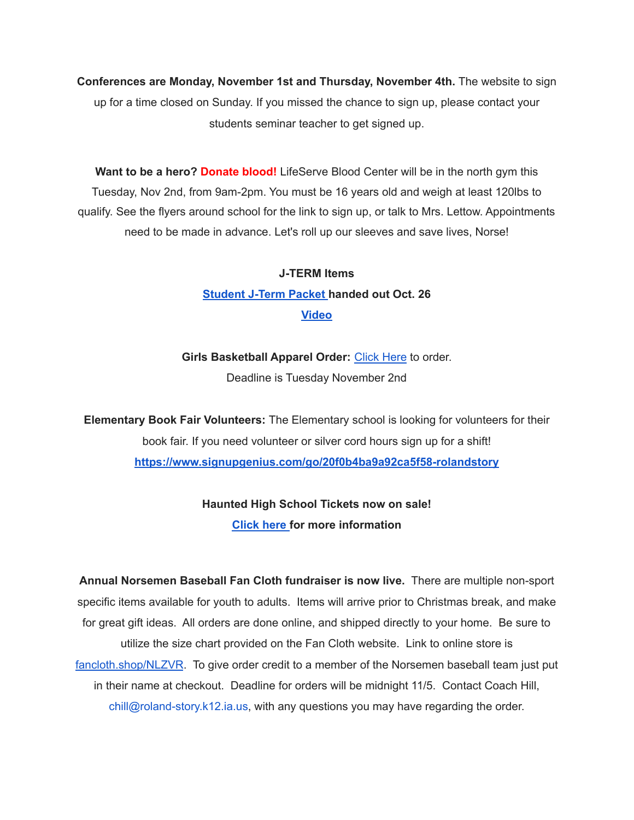**Conferences are Monday, November 1st and Thursday, November 4th.** The website to sign up for a time closed on Sunday. If you missed the chance to sign up, please contact your students seminar teacher to get signed up.

**Want to be a hero? Donate blood!** LifeServe Blood Center will be in the north gym this Tuesday, Nov 2nd, from 9am-2pm. You must be 16 years old and weigh at least 120lbs to qualify. See the flyers around school for the link to sign up, or talk to Mrs. Lettow. Appointments need to be made in advance. Let's roll up our sleeves and save lives, Norse!

# **J-TERM Items [Student](https://drive.google.com/file/d/1h6QugcDvlDevR3f9EywbUQrqVqyCPD5n/view?usp=sharing) J-Term Packet handed out Oct. 26 [Video](https://drive.google.com/file/d/1-IjAQRz891m66mXs_V_s9qC8_1HN0Jw_/view?usp=sharing)**

**Girls Basketball Apparel Order:** [Click](https://rsgbb21.itemorder.com/shop/sale/) Here to order. Deadline is Tuesday November 2nd

**Elementary Book Fair Volunteers:** The Elementary school is looking for volunteers for their book fair. If you need volunteer or silver cord hours sign up for a shift! **<https://www.signupgenius.com/go/20f0b4ba9a92ca5f58-rolandstory>**

## **Haunted High School Tickets now on sale! [Click](https://drive.google.com/file/d/1QQXVvjnwkvK4mkS1QKdNp9LhOMZRHqKl/view?usp=sharing) here for more information**

**Annual Norsemen Baseball Fan Cloth fundraiser is now live.** There are multiple non-sport specific items available for youth to adults. Items will arrive prior to Christmas break, and make for great gift ideas. All orders are done online, and shipped directly to your home. Be sure to utilize the size chart provided on the Fan Cloth website. Link to online store is [fancloth.shop/NLZVR](http://fancloth.shop/NLZVR). To give order credit to a member of the Norsemen baseball team just put in their name at checkout. Deadline for orders will be midnight 11/5. Contact Coach Hill, chill@roland-story.k12.ia.us, with any questions you may have regarding the order.